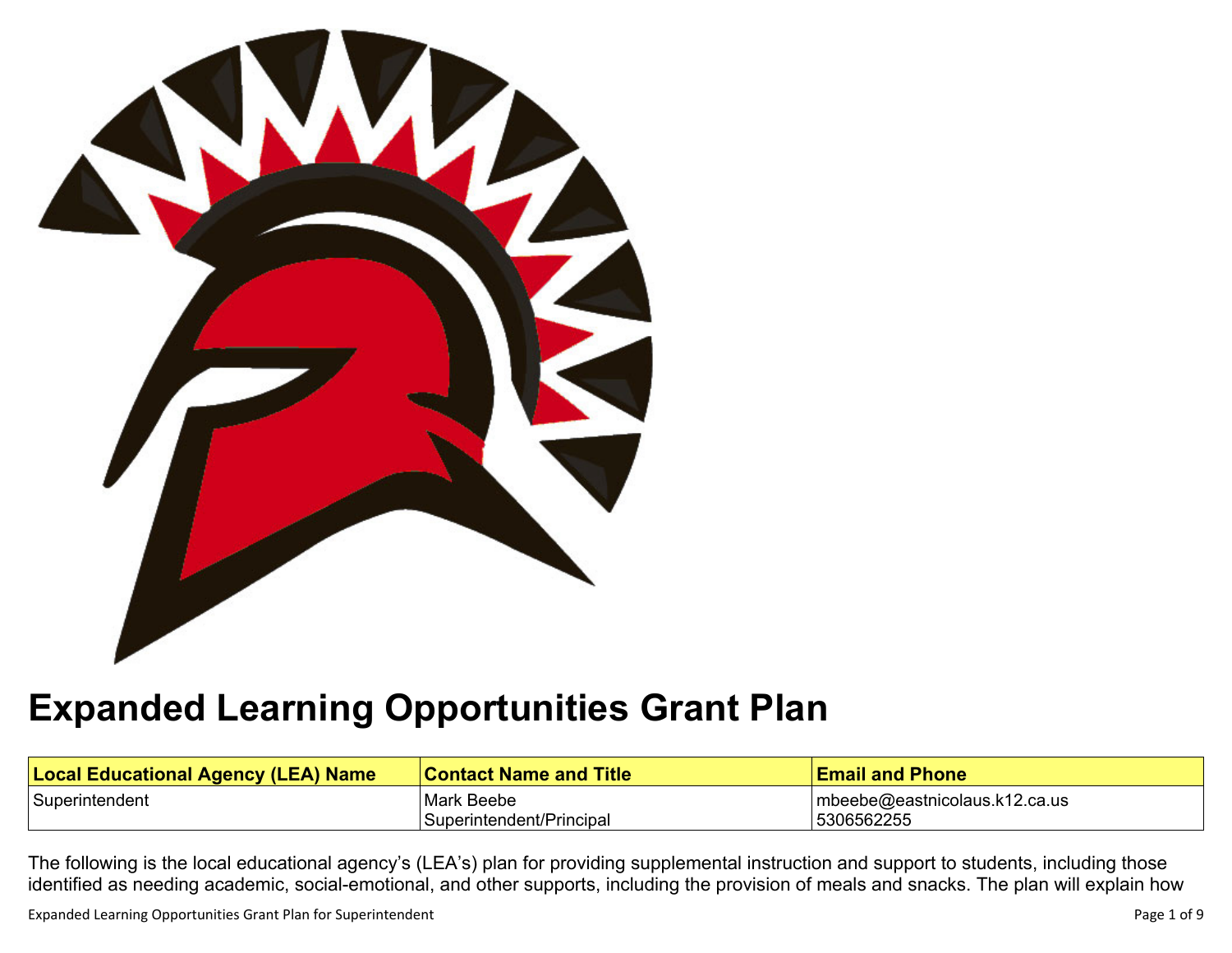

# **Expanded Learning [Opportunities](#page-5-0) Grant Plan**

| <b>Local Educational Agency (LEA) Name</b> | <b>Contact Name and Title</b> | <b>Email and Phone</b>            |
|--------------------------------------------|-------------------------------|-----------------------------------|
| Superintendent                             | Mark Beebe                    | $ $ mbeebe@eastnicolaus.k12.ca.us |
|                                            | Superintendent/Principal      | 5306562255                        |

The following is the local educational agency's (LEA's) plan for providing supplemental instruction and support to students, including those identified as needing academic, social-emotional, and other supports, including the provision of meals and snacks. The plan will explain how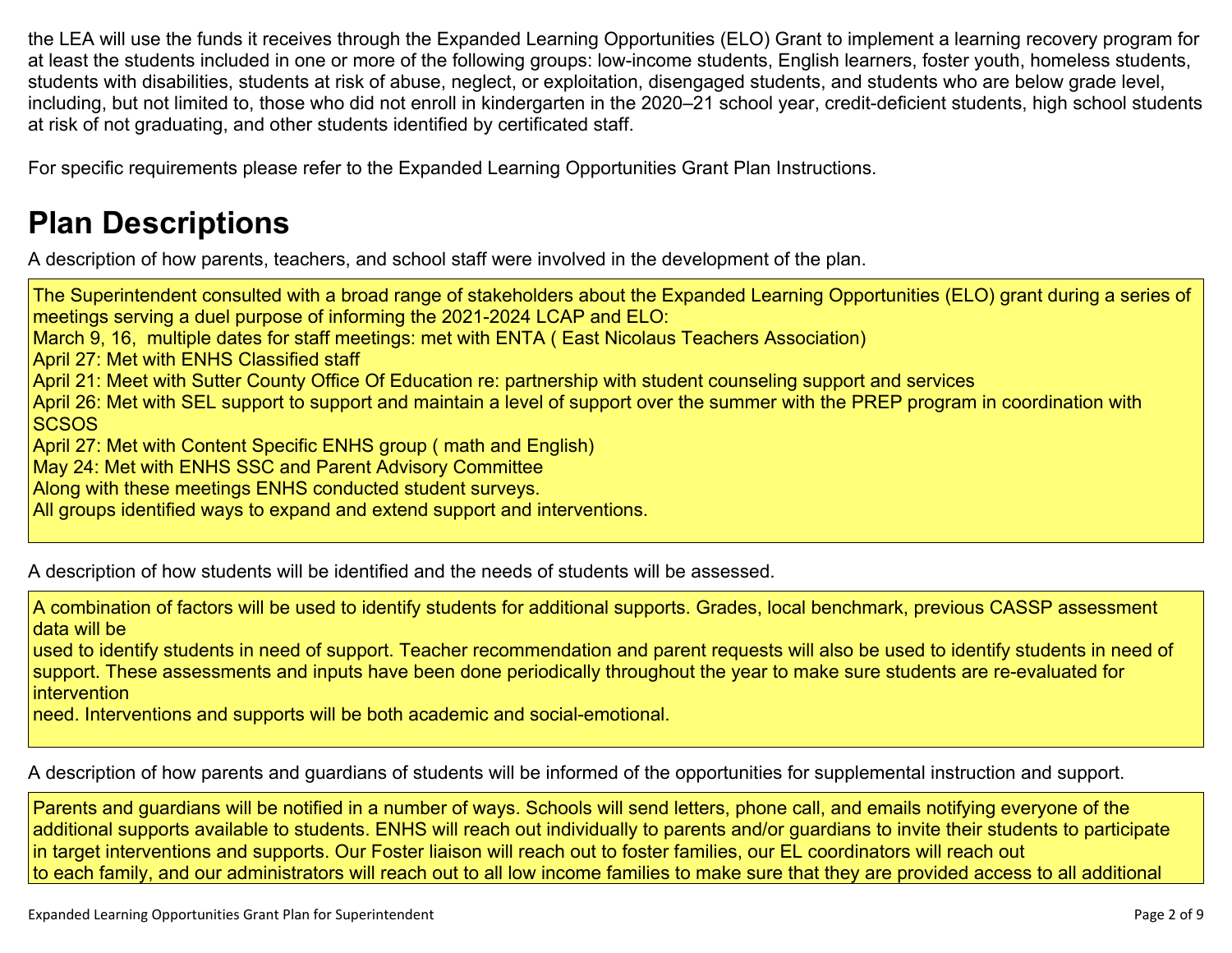the LEA will use the funds it receives through the Expanded Learning Opportunities (ELO) Grant to implement a learning recovery program for at least the students included in one or more of the following groups: low-income students, English learners, foster youth, homeless students, students with disabilities, students at risk of abuse, neglect, or exploitation, disengaged students, and students who are below grade level, including, but not limited to, those who did not enroll in kindergarten in the 2020–21 school year, credit-deficient students, high school students at risk of not graduating, and other students identified by certificated staff.

For specific requirements please refer to the Expanded Learning Opportunities Grant Plan Instructions.

## **Plan [Descriptions](#page-7-0)**

A description of how parents, teachers, and school staff were involved in the [development](#page-7-1) of the plan.

The Superintendent consulted with a broad range of stakeholders about the Expanded Learning Opportunities (ELO) grant during a series of meetings serving a duel purpose of informing the 2021-2024 LCAP and ELO: March 9, 16, multiple dates for staff meetings: met with ENTA ( East Nicolaus Teachers Association) April 27: Met with ENHS Classified staff April 21: Meet with Sutter County Office Of Education re: partnership with student counseling support and services April 26: Met with SEL support to support and maintain a level of support over the summer with the PREP program in coordination with **SCSOS** April 27: Met with Content Specific ENHS group ( math and English) May 24: Met with ENHS SSC and Parent Advisory Committee Along with these meetings ENHS conducted student surveys. All groups identified ways to expand and extend support and interventions.

A [description](#page-7-2) of how students will be identified and the needs of students will be assessed[.](#page-7-2)

A combination of factors will be used to identify students for additional supports. Grades, local benchmark, previous CASSP assessment data will be

used to identify students in need of support. Teacher recommendation and parent requests will also be used to identify students in need of support. These assessments and inputs have been done periodically throughout the year to make sure students are re-evaluated for intervention

need. Interventions and supports will be both academic and social-emotional.

A description of how parents and guardians of students will be informed of the opportunities for [supplemental](#page-7-3) instruction and support[.](#page-7-3)

Parents and guardians will be notified in a number of ways. Schools will send letters, phone call, and emails notifying everyone of the additional supports available to students. ENHS will reach out individually to parents and/or guardians to invite their students to participate in target interventions and supports. Our Foster liaison will reach out to foster families, our EL coordinators will reach out to each family, and our administrators will reach out to all low income families to make sure that they are provided access to all additional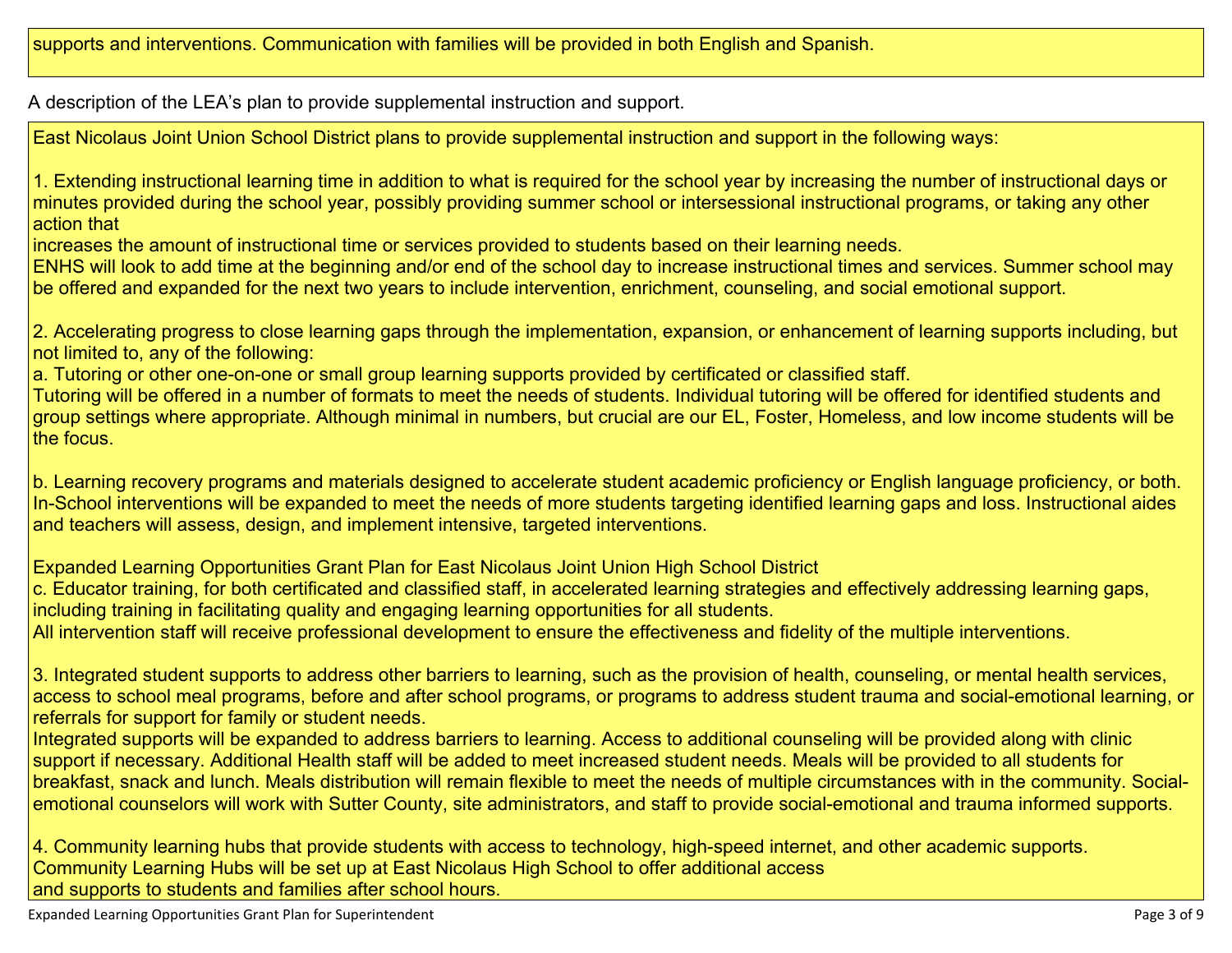A description of the LEA's plan to provide [supplemental](#page-7-4) instruction and support[.](#page-7-4)

East Nicolaus Joint Union School District plans to provide supplemental instruction and support in the following ways:

1. Extending instructional learning time in addition to what is required for the school year by increasing the number of instructional days or minutes provided during the school year, possibly providing summer school or intersessional instructional programs, or taking any other action that

increases the amount of instructional time or services provided to students based on their learning needs.

ENHS will look to add time at the beginning and/or end of the school day to increase instructional times and services. Summer school may be offered and expanded for the next two years to include intervention, enrichment, counseling, and social emotional support.

2. Accelerating progress to close learning gaps through the implementation, expansion, or enhancement of learning supports including, but not limited to, any of the following:

a. Tutoring or other one-on-one or small group learning supports provided by certificated or classified staff.

Tutoring will be offered in a number of formats to meet the needs of students. Individual tutoring will be offered for identified students and group settings where appropriate. Although minimal in numbers, but crucial are our EL, Foster, Homeless, and low income students will be the focus.

b. Learning recovery programs and materials designed to accelerate student academic proficiency or English language proficiency, or both. In-School interventions will be expanded to meet the needs of more students targeting identified learning gaps and loss. Instructional aides and teachers will assess, design, and implement intensive, targeted interventions.

Expanded Learning Opportunities Grant Plan for East Nicolaus Joint Union High School District

c. Educator training, for both certificated and classified staff, in accelerated learning strategies and effectively addressing learning gaps, including training in facilitating quality and engaging learning opportunities for all students.

All intervention staff will receive professional development to ensure the effectiveness and fidelity of the multiple interventions.

3. Integrated student supports to address other barriers to learning, such as the provision of health, counseling, or mental health services, access to school meal programs, before and after school programs, or programs to address student trauma and social-emotional learning, or referrals for support for family or student needs.

Integrated supports will be expanded to address barriers to learning. Access to additional counseling will be provided along with clinic support if necessary. Additional Health staff will be added to meet increased student needs. Meals will be provided to all students for breakfast, snack and lunch. Meals distribution will remain flexible to meet the needs of multiple circumstances with in the community. Socialemotional counselors will work with Sutter County, site administrators, and staff to provide social-emotional and trauma informed supports.

4. Community learning hubs that provide students with access to technology, high-speed internet, and other academic supports. Community Learning Hubs will be set up at East Nicolaus High School to offer additional access and supports to students and families after school hours.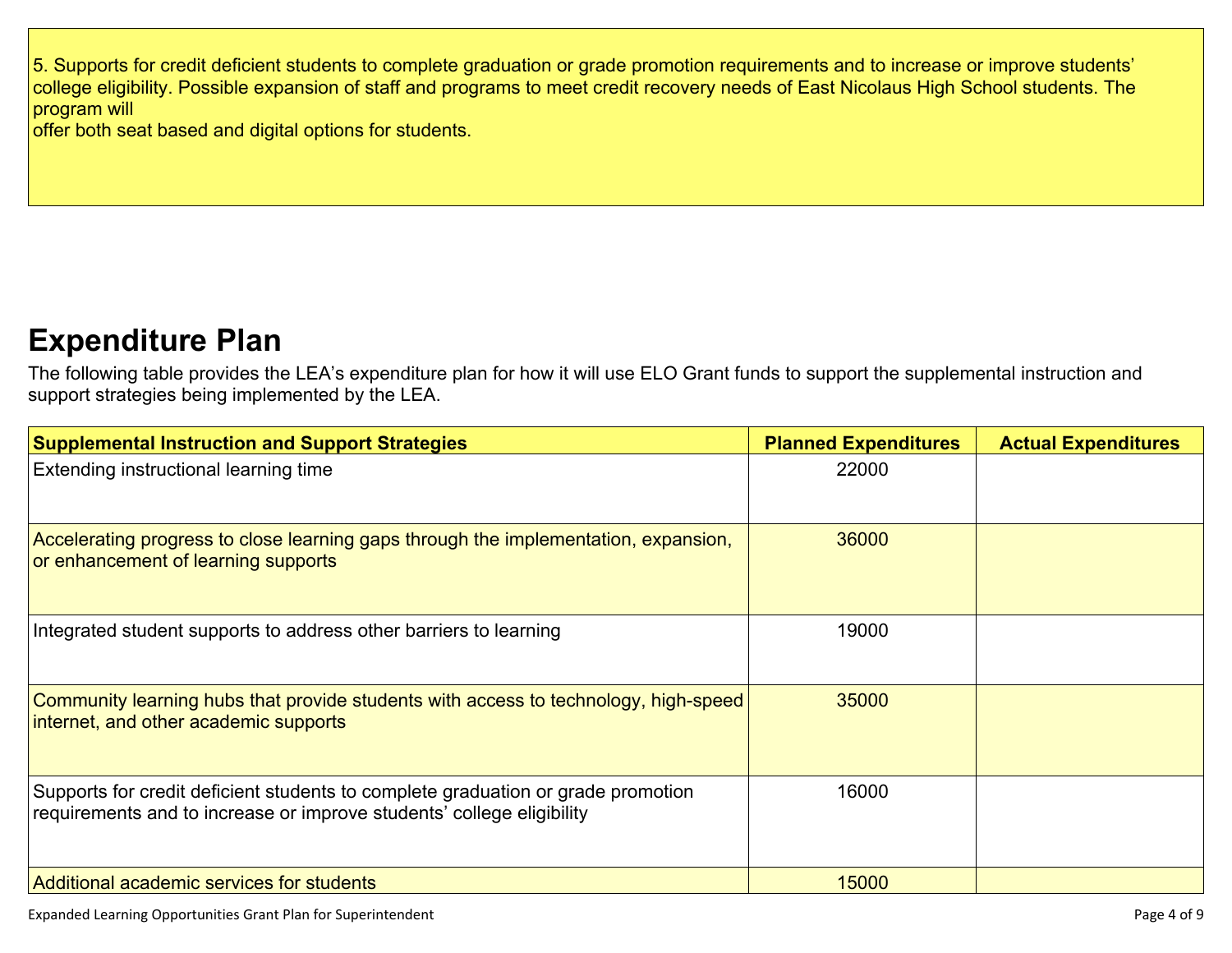5. Supports for credit deficient students to complete graduation or grade promotion requirements and to increase or improve students' college eligibility. Possible expansion of staff and programs to meet credit recovery needs of East Nicolaus High School students. The program will

offer both seat based and digital options for students.

### **[Expenditure](#page-8-0) Pla[n](#page-8-0)**

The following table provides the LEA's expenditure plan for how it will use ELO Grant funds to support the supplemental instruction and support strategies being implemented by the LEA.

| <b>Supplemental Instruction and Support Strategies</b>                                                                                                    | <b>Planned Expenditures</b> | <b>Actual Expenditures</b> |
|-----------------------------------------------------------------------------------------------------------------------------------------------------------|-----------------------------|----------------------------|
| Extending instructional learning time                                                                                                                     | 22000                       |                            |
| Accelerating progress to close learning gaps through the implementation, expansion,<br>or enhancement of learning supports                                | 36000                       |                            |
| Integrated student supports to address other barriers to learning                                                                                         | 19000                       |                            |
| Community learning hubs that provide students with access to technology, high-speed<br>internet, and other academic supports                              | 35000                       |                            |
| Supports for credit deficient students to complete graduation or grade promotion<br>requirements and to increase or improve students' college eligibility | 16000                       |                            |
| Additional academic services for students                                                                                                                 | 15000                       |                            |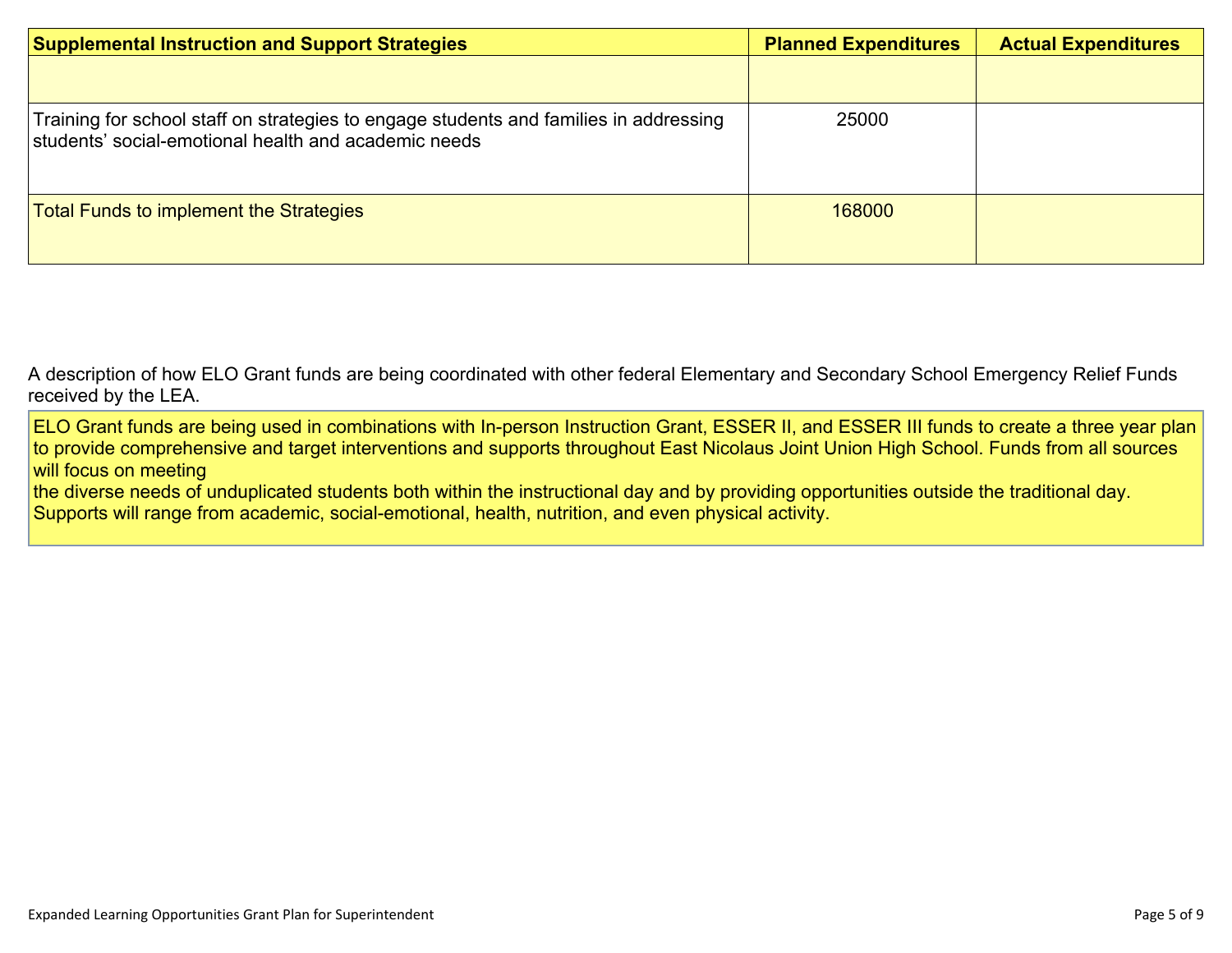| <b>Supplemental Instruction and Support Strategies</b>                                                                                        | <b>Planned Expenditures</b> | <b>Actual Expenditures</b> |
|-----------------------------------------------------------------------------------------------------------------------------------------------|-----------------------------|----------------------------|
|                                                                                                                                               |                             |                            |
| Training for school staff on strategies to engage students and families in addressing<br>students' social-emotional health and academic needs | 25000                       |                            |
| <b>Total Funds to implement the Strategies</b>                                                                                                | 168000                      |                            |

A description of how [E](#page-8-1)LO Grant funds are being [coordinated](#page-8-1) with other federal Elementary and Secondary School Emergency Relief Funds [received](#page-8-1) by the LEA.

ELO Grant funds are being used in combinations with In-person Instruction Grant, ESSER II, and ESSER III funds to create a three year plan to provide comprehensive and target interventions and supports throughout East Nicolaus Joint Union High School. Funds from all sources will focus on meeting

the diverse needs of unduplicated students both within the instructional day and by providing opportunities outside the traditional day. Supports will range from academic, social-emotional, health, nutrition, and even physical activity.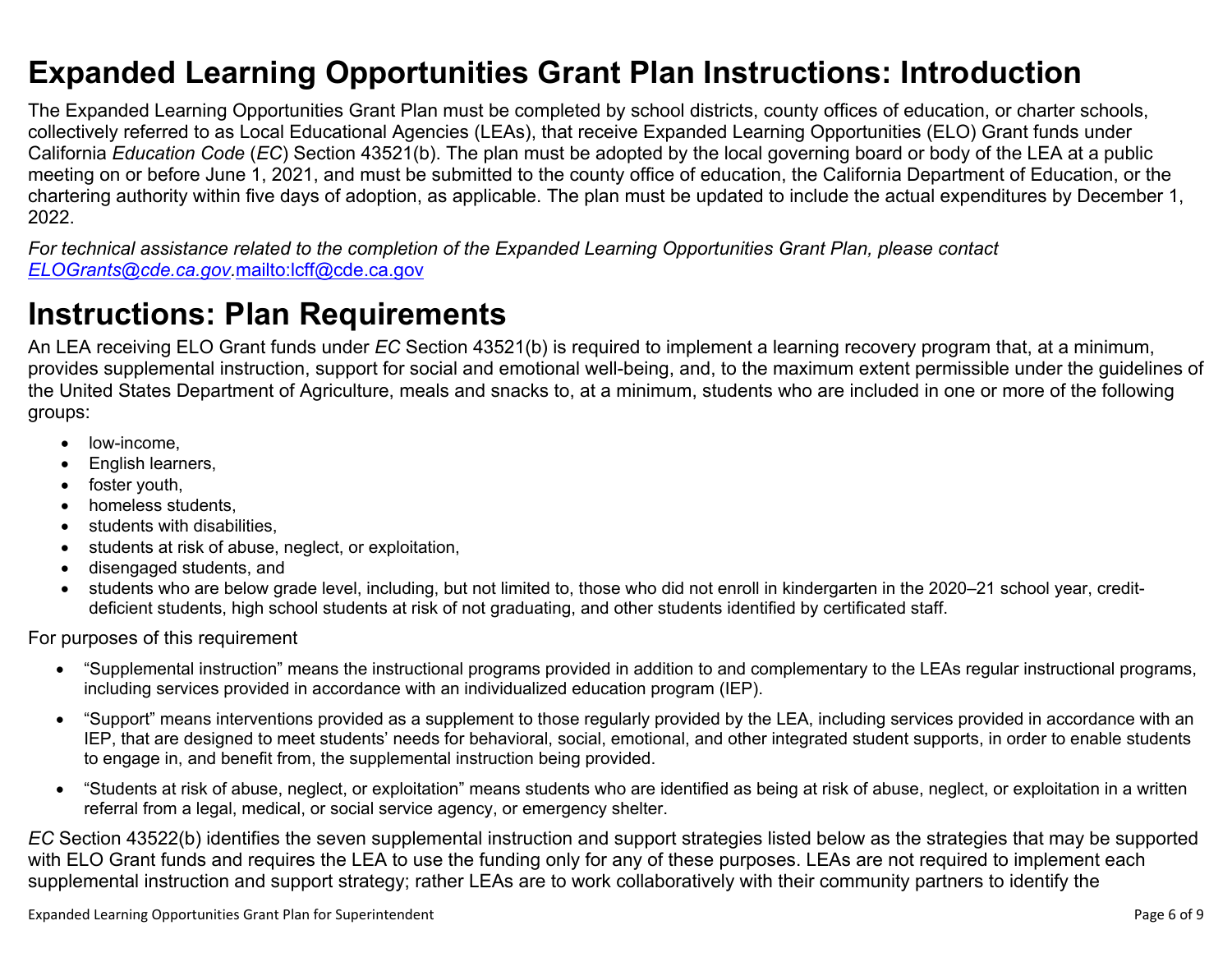### <span id="page-5-0"></span>**Expanded Learning Opportunities Grant Plan Instructions: Introduction**

The Expanded Learning Opportunities Grant Plan must be completed by school districts, county offices of education, or charter schools, collectively referred to as Local Educational Agencies (LEAs), that receive Expanded Learning Opportunities (ELO) Grant funds under California *Education Code* (*EC*) Section 43521(b). The plan must be adopted by the local governing board or body of the LEA at a public meeting on or before June 1, 2021, and must be submitted to the county office of education, the California Department of Education, or the chartering authority within five days of adoption, as applicable. The plan must be updated to include the actual expenditures by December 1, 2022.

For technical assistance related to the completion of the Expanded Learning Opportunities Grant Plan, please contact *[ELOGrants@cde.ca.gov](mailto:ELOGrants@cde.ca.gov).*<mailto:lcff@cde.ca.gov>

### **Instructions: Plan Requirements**

An LEA receiving ELO Grant funds under *EC* Section 43521(b) is required to implement a learning recovery program that, at a minimum, provides supplemental instruction, support for social and emotional well-being, and, to the maximum extent permissible under the guidelines of the United States Department of Agriculture, meals and snacks to, at a minimum, students who are included in one or more of the following groups:

- low-income.
- English learners,
- foster youth,
- homeless students,
- students with disabilities.
- students at risk of abuse, neglect, or exploitation,
- disengaged students, and
- students who are below grade level, including, but not limited to, those who did not enroll in kindergarten in the 2020–21 school year, creditdeficient students, high school students at risk of not graduating, and other students identified by certificated staff.

For purposes of this requirement

- "Supplemental instruction" means the instructional programs provided in addition to and complementary to the LEAs regular instructional programs, including services provided in accordance with an individualized education program (IEP).
- "Support" means interventions provided as a supplement to those regularly provided by the LEA, including services provided in accordance with an IEP, that are designed to meet students' needs for behavioral, social, emotional, and other integrated student supports, in order to enable students to engage in, and benefit from, the supplemental instruction being provided.
- "Students at risk of abuse, neglect, or exploitation" means students who are identified as being at risk of abuse, neglect, or exploitation in a written referral from a legal, medical, or social service agency, or emergency shelter.

*EC* Section 43522(b) identifies the seven supplemental instruction and support strategies listed below as the strategies that may be supported with ELO Grant funds and requires the LEA to use the funding only for any of these purposes. LEAs are not required to implement each supplemental instruction and support strategy; rather LEAs are to work collaboratively with their community partners to identify the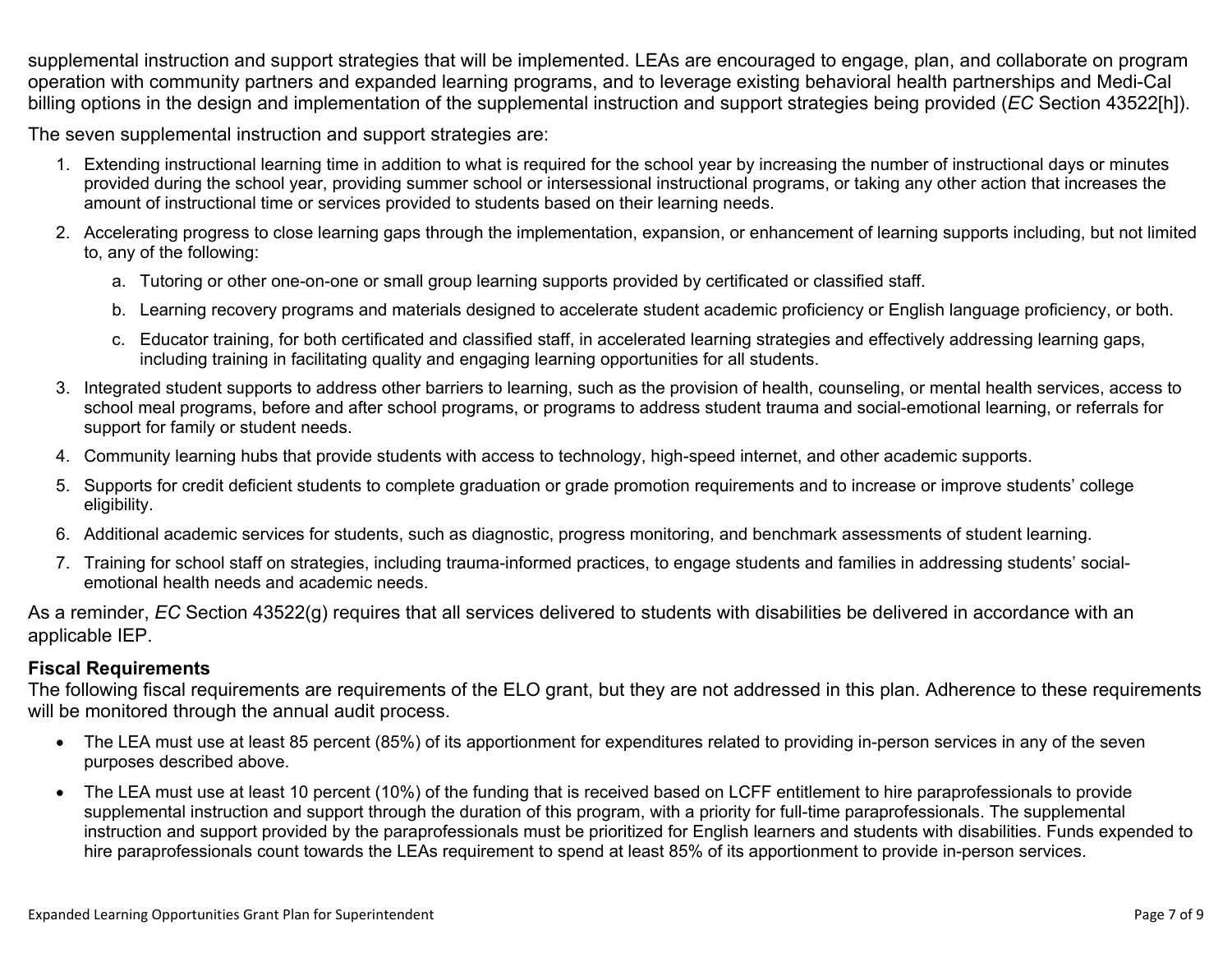supplemental instruction and support strategies that will be implemented. LEAs are encouraged to engage, plan, and collaborate on program operation with community partners and expanded learning programs, and to leverage existing behavioral health partnerships and Medi-Cal billing options in the design and implementation of the supplemental instruction and support strategies being provided (*EC* Section 43522[h]).

The seven supplemental instruction and support strategies are:

- 1. Extending instructional learning time in addition to what is required for the school year by increasing the number of instructional days or minutes provided during the school year, providing summer school or intersessional instructional programs, or taking any other action that increases the amount of instructional time or services provided to students based on their learning needs.
- 2. Accelerating progress to close learning gaps through the implementation, expansion, or enhancement of learning supports including, but not limited to, any of the following:
	- a. Tutoring or other one-on-one or small group learning supports provided by certificated or classified staff.
	- b. Learning recovery programs and materials designed to accelerate student academic proficiency or English language proficiency, or both.
	- c. Educator training, for both certificated and classified staff, in accelerated learning strategies and effectively addressing learning gaps, including training in facilitating quality and engaging learning opportunities for all students.
- 3. Integrated student supports to address other barriers to learning, such as the provision of health, counseling, or mental health services, access to school meal programs, before and after school programs, or programs to address student trauma and social-emotional learning, or referrals for support for family or student needs.
- 4. Community learning hubs that provide students with access to technology, high-speed internet, and other academic supports.
- 5. Supports for credit deficient students to complete graduation or grade promotion requirements and to increase or improve students' college eligibility.
- 6. Additional academic services for students, such as diagnostic, progress monitoring, and benchmark assessments of student learning.
- 7. Training for school staff on strategies, including trauma-informed practices, to engage students and families in addressing students' socialemotional health needs and academic needs.

As a reminder, *EC* Section 43522(g) requires that all services delivered to students with disabilities be delivered in accordance with an applicable IEP.

#### **Fiscal Requirements**

The following fiscal requirements are requirements of the ELO grant, but they are not addressed in this plan. Adherence to these requirements will be monitored through the annual audit process.

- The LEA must use at least 85 percent (85%) of its apportionment for expenditures related to providing in-person services in any of the seven purposes described above.
- The LEA must use at least 10 percent (10%) of the funding that is received based on LCFF entitlement to hire paraprofessionals to provide supplemental instruction and support through the duration of this program, with a priority for full-time paraprofessionals. The supplemental instruction and support provided by the paraprofessionals must be prioritized for English learners and students with disabilities. Funds expended to hire paraprofessionals count towards the LEAs requirement to spend at least 85% of its apportionment to provide in-person services.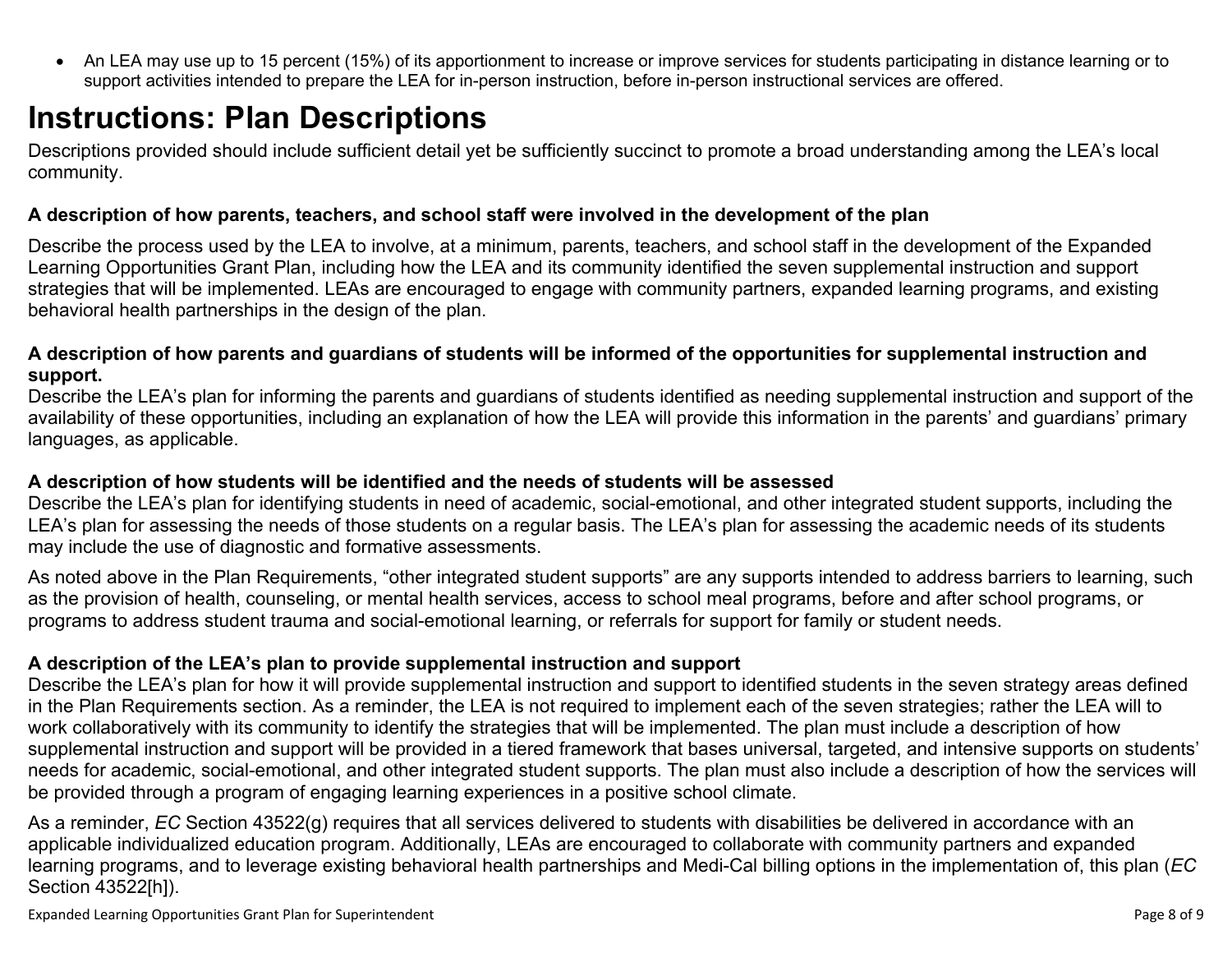<span id="page-7-0"></span> An LEA may use up to 15 percent (15%) of its apportionment to increase or improve services for students participating in distance learning or to support activities intended to prepare the LEA for in-person instruction, before in-person instructional services are offered.

## **Instructions: Plan Descriptions**

Descriptions provided should include sufficient detail yet be sufficiently succinct to promote a broad understanding among the LEA's local community.

#### <span id="page-7-1"></span>**A description of how parents, teachers, and school staff were involved in the development of the plan**

Describe the process used by the LEA to involve, at a minimum, parents, teachers, and school staff in the development of the Expanded Learning Opportunities Grant Plan, including how the LEA and its community identified the seven supplemental instruction and support strategies that will be implemented. LEAs are encouraged to engage with community partners, expanded learning programs, and existing behavioral health partnerships in the design of the plan.

#### <span id="page-7-2"></span>A description of how parents and guardians of students will be informed of the opportunities for supplemental instruction and **support.**

Describe the LEA's plan for informing the parents and guardians of students identified as needing supplemental instruction and support of the availability of these opportunities, including an explanation of how the LEA will provide this information in the parents' and guardians' primary languages, as applicable.

#### <span id="page-7-3"></span>**A description of how students will be identified and the needs of students will be assessed**

Describe the LEA's plan for identifying students in need of academic, social-emotional, and other integrated student supports, including the LEA's plan for assessing the needs of those students on a regular basis. The LEA's plan for assessing the academic needs of its students may include the use of diagnostic and formative assessments.

As noted above in the Plan Requirements, "other integrated student supports" are any supports intended to address barriers to learning, such as the provision of health, counseling, or mental health services, access to school meal programs, before and after school programs, or programs to address student trauma and social-emotional learning, or referrals for support for family or student needs.

### <span id="page-7-4"></span>**A description of the LEA's plan to provide supplemental instruction and support**

Describe the LEA's plan for how it will provide supplemental instruction and support to identified students in the seven strategy areas defined in the Plan Requirements section. As a reminder, the LEA is not required to implement each of the seven strategies; rather the LEA will to work collaboratively with its community to identify the strategies that will be implemented. The plan must include a description of how supplemental instruction and support will be provided in a tiered framework that bases universal, targeted, and intensive supports on students' needs for academic, social-emotional, and other integrated student supports. The plan must also include a description of how the services will be provided through a program of engaging learning experiences in a positive school climate.

As a reminder, *EC* Section 43522(g) requires that all services delivered to students with disabilities be delivered in accordance with an applicable individualized education program. Additionally, LEAs are encouraged to collaborate with community partners and expanded learning programs, and to leverage existing behavioral health partnerships and Medi-Cal billing options in the implementation of, this plan (*EC* Section 43522[h]).